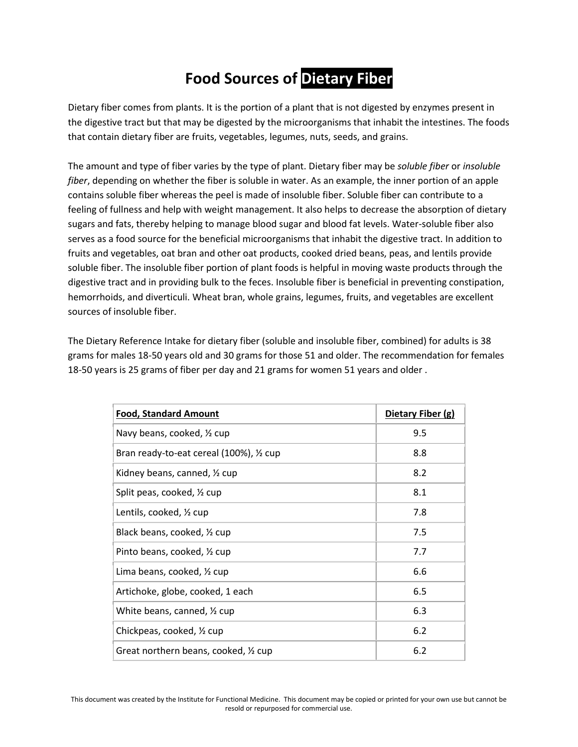## **Food Sources of Dietary Fiber**

Dietary fiber comes from plants. It is the portion of a plant that is not digested by enzymes present in the digestive tract but that may be digested by the microorganisms that inhabit the intestines. The foods that contain dietary fiber are fruits, vegetables, legumes, nuts, seeds, and grains.

The amount and type of fiber varies by the type of plant. Dietary fiber may be *soluble fiber* or *insoluble fiber*, depending on whether the fiber is soluble in water. As an example, the inner portion of an apple contains soluble fiber whereas the peel is made of insoluble fiber. Soluble fiber can contribute to a feeling of fullness and help with weight management. It also helps to decrease the absorption of dietary sugars and fats, thereby helping to manage blood sugar and blood fat levels. Water-soluble fiber also serves as a food source for the beneficial microorganisms that inhabit the digestive tract. In addition to fruits and vegetables, oat bran and other oat products, cooked dried beans, peas, and lentils provide soluble fiber. The insoluble fiber portion of plant foods is helpful in moving waste products through the digestive tract and in providing bulk to the feces. Insoluble fiber is beneficial in preventing constipation, hemorrhoids, and diverticuli. Wheat bran, whole grains, legumes, fruits, and vegetables are excellent sources of insoluble fiber.

The Dietary Reference Intake for dietary fiber (soluble and insoluble fiber, combined) for adults is 38 grams for males 18-50 years old and 30 grams for those 51 and older. The recommendation for females 18-50 years is 25 grams of fiber per day and 21 grams for women 51 years and older .

| <b>Food, Standard Amount</b>             | Dietary Fiber (g) |
|------------------------------------------|-------------------|
| Navy beans, cooked, 1/2 cup              | 9.5               |
| Bran ready-to-eat cereal (100%), 1/2 cup | 8.8               |
| Kidney beans, canned, $\frac{1}{2}$ cup  | 8.2               |
| Split peas, cooked, 1/2 cup              | 8.1               |
| Lentils, cooked, 1/2 cup                 | 7.8               |
| Black beans, cooked, 1/2 cup             | 7.5               |
| Pinto beans, cooked, 1/2 cup             | 7.7               |
| Lima beans, cooked, $\frac{1}{2}$ cup    | 6.6               |
| Artichoke, globe, cooked, 1 each         | 6.5               |
| White beans, canned, $\frac{1}{2}$ cup   | 6.3               |
| Chickpeas, cooked, 1/2 cup               | 6.2               |
| Great northern beans, cooked, 1/2 cup    | 6.2               |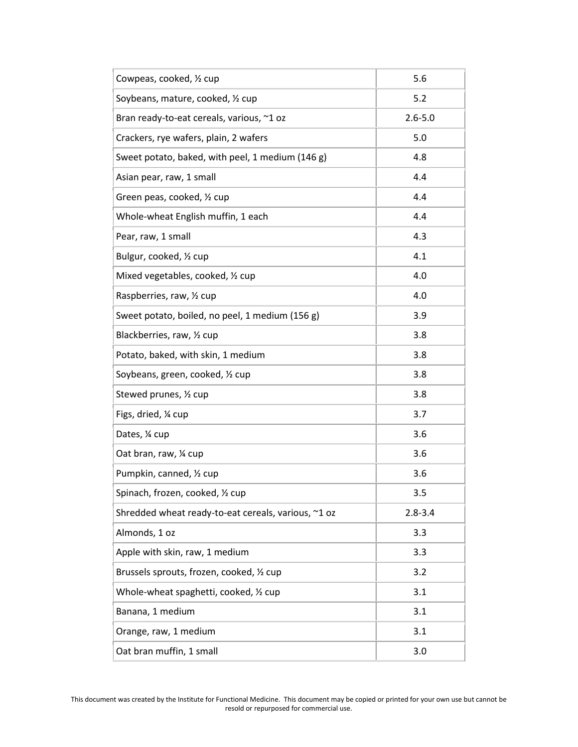| Cowpeas, cooked, 1/2 cup                            | 5.6         |
|-----------------------------------------------------|-------------|
| Soybeans, mature, cooked, 1/2 cup                   | 5.2         |
| Bran ready-to-eat cereals, various, ~1 oz           | $2.6 - 5.0$ |
| Crackers, rye wafers, plain, 2 wafers               | 5.0         |
| Sweet potato, baked, with peel, 1 medium (146 g)    | 4.8         |
| Asian pear, raw, 1 small                            | 4.4         |
| Green peas, cooked, 1/2 cup                         | 4.4         |
| Whole-wheat English muffin, 1 each                  | 4.4         |
| Pear, raw, 1 small                                  | 4.3         |
| Bulgur, cooked, 1/2 cup                             | 4.1         |
| Mixed vegetables, cooked, 1/2 cup                   | 4.0         |
| Raspberries, raw, 1/2 cup                           | 4.0         |
| Sweet potato, boiled, no peel, 1 medium (156 g)     | 3.9         |
| Blackberries, raw, 1/2 cup                          | 3.8         |
| Potato, baked, with skin, 1 medium                  | 3.8         |
| Soybeans, green, cooked, 1/2 cup                    | 3.8         |
| Stewed prunes, 1/2 cup                              | 3.8         |
| Figs, dried, 1/4 cup                                | 3.7         |
| Dates, 1⁄4 cup                                      | 3.6         |
| Oat bran, raw, 1/4 cup                              | 3.6         |
| Pumpkin, canned, 1/2 cup                            | 3.6         |
| Spinach, frozen, cooked, 1/2 cup                    | 3.5         |
| Shredded wheat ready-to-eat cereals, various, ~1 oz | $2.8 - 3.4$ |
| Almonds, 1 oz                                       | 3.3         |
| Apple with skin, raw, 1 medium                      | 3.3         |
| Brussels sprouts, frozen, cooked, 1/2 cup           | 3.2         |
| Whole-wheat spaghetti, cooked, 1/2 cup              | 3.1         |
| Banana, 1 medium                                    | 3.1         |
| Orange, raw, 1 medium                               | 3.1         |
| Oat bran muffin, 1 small                            | 3.0         |

This document was created by the Institute for Functional Medicine. This document may be copied or printed for your own use but cannot be resold or repurposed for commercial use.